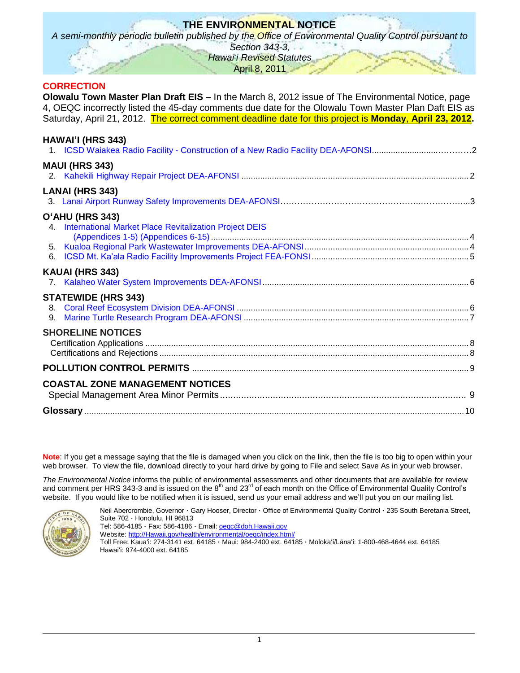# **THE ENVIRONMENTAL NOTICE**

*A semi-monthly periodic bulletin published by the Office of Environmental Quality Control pursuant to* 

*Section 343-3,*

*Hawai*'*i Revised Statutes* April 8, 2011

## **CORRECTION**

**Olowalu Town Master Plan Draft EIS –** In the March 8, 2012 issue of The Environmental Notice, page 4, OEQC incorrectly listed the 45-day comments due date for the Olowalu Town Master Plan Daft EIS as Saturday, April 21, 2012. The correct comment deadline date for this project is **Monday**, **April 23, 2012.**

| HAWAI'I (HRS 343)                                                            |  |
|------------------------------------------------------------------------------|--|
| <b>MAUI (HRS 343)</b>                                                        |  |
| <b>LANAI (HRS 343)</b>                                                       |  |
| O'AHU (HRS 343)<br>4. International Market Place Revitalization Project DEIS |  |
| KAUAI (HRS 343)                                                              |  |
| <b>STATEWIDE (HRS 343)</b><br>9.                                             |  |
| <b>SHORELINE NOTICES</b>                                                     |  |
|                                                                              |  |
| <b>COASTAL ZONE MANAGEMENT NOTICES</b>                                       |  |
|                                                                              |  |

**Note**: If you get a message saying that the file is damaged when you click on the link, then the file is too big to open within your web browser. To view the file, download directly to your hard drive by going to File and select Save As in your web browser.

*The Environmental Notice* informs the public of environmental assessments and other documents that are available for review and comment per HRS 343-3 and is issued on the 8<sup>th</sup> and 23<sup>rd</sup> of each month on the Office of Environmental Quality Control's website. If you would like to be notified when it is issued, send us your email address and we'll put you on our mailing list.



Neil Abercrombie, Governor · Gary Hooser, Director · Office of Environmental Quality Control · 235 South Beretania Street, Suite 702 · Honolulu, HI 96813 Tel: 586-4185 · Fax: 586-4186 · Email: **oegc@doh.Hawaii.gov** Website: [http://Hawaii.gov/health/environmental/oeqc/index.html/](http://hawaii.gov/health/environmental/oeqc/index.html/)

Toll Free: Kauaʻi: 274-3141 ext. 64185 · Maui: 984-2400 ext. 64185 · Molokaʻi/Lānaʻi: 1-800-468-4644 ext. 64185 Hawaiʻi: 974-4000 ext. 64185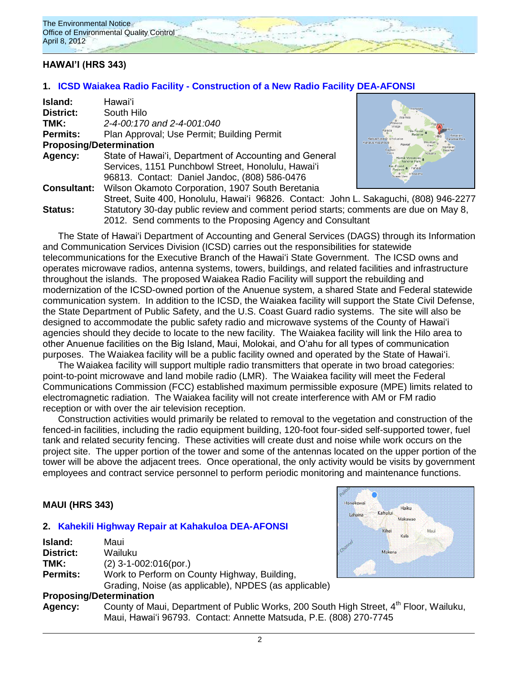

## **HAWAI'I (HRS 343)**

### **1. ICSD Waiakea Radio Facility - [Construction of a New Radio Facility DEA-AFONSI](http://oeqc.doh.hawaii.gov/Shared%20Documents/EA_and_EIS_Online_Library/Hawaii/2010s/2012-04-08-DEA-Waiakea-Radio-Facility-Construction.pdf)**

| Island:                        | Hawaiʻi                                                                                                                                            |                             |  |  |
|--------------------------------|----------------------------------------------------------------------------------------------------------------------------------------------------|-----------------------------|--|--|
| District:                      | South Hilo                                                                                                                                         |                             |  |  |
| TMK:                           | 2-4-00:170 and 2-4-001:040                                                                                                                         | Waikolo                     |  |  |
| Permits:                       | Plan Approval; Use Permit; Building Permit<br>ailua Kona Q o Holual                                                                                |                             |  |  |
| <b>Proposing/Determination</b> |                                                                                                                                                    | Kahaluu-Keauhour<br>Captain |  |  |
| <b>Agency:</b>                 | State of Hawai'i, Department of Accounting and General                                                                                             |                             |  |  |
|                                | Services, 1151 Punchbowl Street, Honolulu, Hawai'i                                                                                                 | <b>Pahala</b>               |  |  |
|                                | 96813. Contact: Daniel Jandoc, (808) 586-0476                                                                                                      |                             |  |  |
| <b>Consultant:</b>             | Wilson Okamoto Corporation, 1907 South Beretania                                                                                                   |                             |  |  |
|                                | Street, Suite 400, Honolulu, Hawai'i 96826. Contact: John L. Sakaguchi, (808) 946-2277                                                             |                             |  |  |
| Status:                        | Statutory 30-day public review and comment period starts; comments are due on May 8,<br>2012. Send comments to the Proposing Agency and Consultant |                             |  |  |
|                                |                                                                                                                                                    |                             |  |  |

The State of Hawaiʻi Department of Accounting and General Services (DAGS) through its Information and Communication Services Division (ICSD) carries out the responsibilities for statewide telecommunications for the Executive Branch of the Hawaiʻi State Government. The ICSD owns and operates microwave radios, antenna systems, towers, buildings, and related facilities and infrastructure throughout the islands. The proposed Waiakea Radio Facility will support the rebuilding and modernization of the ICSD-owned portion of the Anuenue system, a shared State and Federal statewide communication system. In addition to the ICSD, the Waiakea facility will support the State Civil Defense, the State Department of Public Safety, and the U.S. Coast Guard radio systems. The site will also be designed to accommodate the public safety radio and microwave systems of the County of Hawaiʻi agencies should they decide to locate to the new facility. The Waiakea facility will link the Hilo area to other Anuenue facilities on the Big Island, Maui, Molokai, and Oʻahu for all types of communication purposes. The Waiakea facility will be a public facility owned and operated by the State of Hawaiʻi.

The Waiakea facility will support multiple radio transmitters that operate in two broad categories: point-to-point microwave and land mobile radio (LMR). The Waiakea facility will meet the Federal Communications Commission (FCC) established maximum permissible exposure (MPE) limits related to electromagnetic radiation. The Waiakea facility will not create interference with AM or FM radio reception or with over the air television reception.

Construction activities would primarily be related to removal to the vegetation and construction of the fenced-in facilities, including the radio equipment building, 120-foot four-sided self-supported tower, fuel tank and related security fencing. These activities will create dust and noise while work occurs on the project site. The upper portion of the tower and some of the antennas located on the upper portion of the tower will be above the adjacent trees. Once operational, the only activity would be visits by government employees and contract service personnel to perform periodic monitoring and maintenance functions.

### **MAUI (HRS 343)**

### **2. [Kahekili Highway Repair at Kahakuloa](http://oeqc.doh.hawaii.gov/Shared%20Documents/EA_and_EIS_Online_Library/Maui/2010s/2012-04-08-DEA-Kahekili-Highway-Repair-at-Kahakuloa.pdf) DEA-AFONSI**

| <b>Island:</b>  | Maui                                                  |
|-----------------|-------------------------------------------------------|
| District:       | Wailuku                                               |
| TMK:            | $(2)$ 3-1-002:016(por.)                               |
| <b>Permits:</b> | Work to Perform on County Highway, Building,          |
|                 | Grading, Noise (as applicable), NPDES (as applicable) |
|                 | <b>Proposing/Determination</b>                        |

Agency: County of Maui, Department of Public Works, 200 South High Street, 4<sup>th</sup> Floor, Wailuku, Maui, Hawaiʻi 96793. Contact: Annette Matsuda, P.E. (808) 270-7745

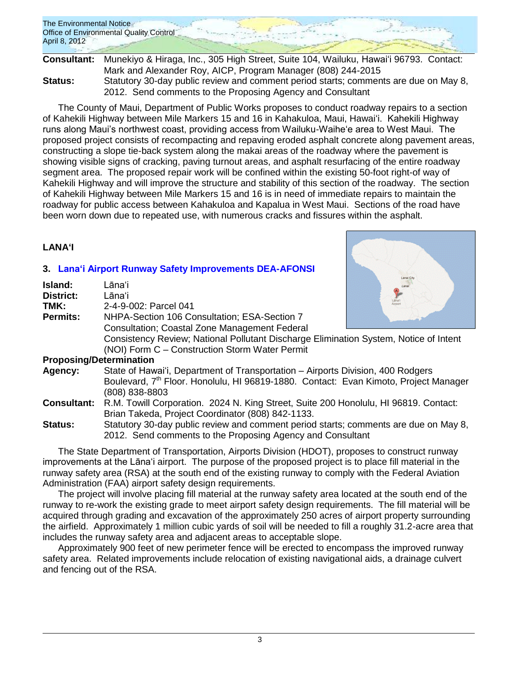The Environmental Notice Office of Environmental Quality Control April 8, 2012

**Consultant:** Munekiyo & Hiraga, Inc., 305 High Street, Suite 104, Wailuku, Hawaiʻi 96793. Contact: Mark and Alexander Roy, AICP, Program Manager (808) 244-2015 **Status:** Statutory 30-day public review and comment period starts; comments are due on May 8, 2012. Send comments to the Proposing Agency and Consultant

The County of Maui, Department of Public Works proposes to conduct roadway repairs to a section of Kahekili Highway between Mile Markers 15 and 16 in Kahakuloa, Maui, Hawaiʻi. Kahekili Highway runs along Maui's northwest coast, providing access from Wailuku-Waiheʻe area to West Maui. The proposed project consists of recompacting and repaving eroded asphalt concrete along pavement areas, constructing a slope tie-back system along the makai areas of the roadway where the pavement is showing visible signs of cracking, paving turnout areas, and asphalt resurfacing of the entire roadway segment area. The proposed repair work will be confined within the existing 50-foot right-of way of Kahekili Highway and will improve the structure and stability of this section of the roadway. The section of Kahekili Highway between Mile Markers 15 and 16 is in need of immediate repairs to maintain the roadway for public access between Kahakuloa and Kapalua in West Maui. Sections of the road have been worn down due to repeated use, with numerous cracks and fissures within the asphalt.

## **LANAʻI**

# **3. [Lanaʻi Airport Runway Safety Improvements DEA-AFONSI](http://oeqc.doh.hawaii.gov/Shared%20Documents/EA_and_EIS_Online_Library/Lanai/2010s/2012-04-08-DEA-Lanai-Airport-Runway-Safety-Improvements.pdf)**

| Island:         | Lanai City<br>Lānaʻi                                                                                    |  |  |
|-----------------|---------------------------------------------------------------------------------------------------------|--|--|
| District:       | Lāna'il                                                                                                 |  |  |
| TMK:            | 2-4-9-002: Parcel 041                                                                                   |  |  |
| <b>Permits:</b> | NHPA-Section 106 Consultation; ESA-Section 7                                                            |  |  |
|                 | <b>Consultation; Coastal Zone Management Federal</b>                                                    |  |  |
|                 | Consistency Review; National Pollutant Discharge Elimination System, Notice of Intent                   |  |  |
|                 | (NOI) Form C - Construction Storm Water Permit                                                          |  |  |
|                 | <b>Proposing/Determination</b>                                                                          |  |  |
| Agency:         | State of Hawai'i, Department of Transportation – Airports Division, 400 Rodgers                         |  |  |
|                 | Boulevard, 7 <sup>th</sup> Floor. Honolulu, HI 96819-1880. Contact: Evan Kimoto, Project Manager        |  |  |
|                 | (808) 838-8803                                                                                          |  |  |
|                 | <b>Consultant:</b> R.M. Towill Corporation. 2024 N. King Street, Suite 200 Honolulu, HI 96819. Contact: |  |  |
|                 | Brian Takeda, Project Coordinator (808) 842-1133.                                                       |  |  |

**Status:** Statutory 30-day public review and comment period starts; comments are due on May 8, 2012. Send comments to the Proposing Agency and Consultant

The State Department of Transportation, Airports Division (HDOT), proposes to construct runway improvements at the Lānaʻi airport. The purpose of the proposed project is to place fill material in the runway safety area (RSA) at the south end of the existing runway to comply with the Federal Aviation Administration (FAA) airport safety design requirements.

The project will involve placing fill material at the runway safety area located at the south end of the runway to re-work the existing grade to meet airport safety design requirements. The fill material will be acquired through grading and excavation of the approximately 250 acres of airport property surrounding the airfield. Approximately 1 million cubic yards of soil will be needed to fill a roughly 31.2-acre area that includes the runway safety area and adjacent areas to acceptable slope.

Approximately 900 feet of new perimeter fence will be erected to encompass the improved runway safety area. Related improvements include relocation of existing navigational aids, a drainage culvert and fencing out of the RSA.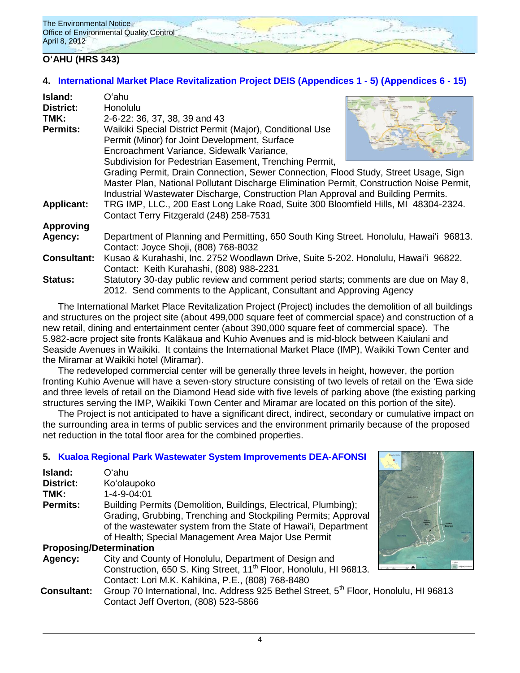## **OʻAHU (HRS 343)**

# **4. [International Market Place Revitalization Project DEIS](http://oeqc.doh.hawaii.gov/Shared%20Documents/EA_and_EIS_Online_Library/Oahu/2010s/2012-04-08-DEIS-International-Market-Place-Revitalization.pdf) [\(Appendices 1 -](http://oeqc.doh.hawaii.gov/Shared%20Documents/EA_and_EIS_Online_Library/Oahu/2010s/2012-04-08-DEIS-International-Market-Place-Revitalization-Appendices-1-to-5.pdf) 5) [\(Appendices 6 -](http://oeqc.doh.hawaii.gov/Shared%20Documents/EA_and_EIS_Online_Library/Oahu/2010s/2012-04-08-DEIS-International-Market-Place-Revitalization-Appendices-6-to-15.pdf) 15)**

| Island:            | Oʻahu                                                                                    |  |
|--------------------|------------------------------------------------------------------------------------------|--|
| <b>District:</b>   | <b>Honolulu</b>                                                                          |  |
| TMK:               | 2-6-22: 36, 37, 38, 39 and 43                                                            |  |
| <b>Permits:</b>    | Waikiki Special District Permit (Major), Conditional Use                                 |  |
|                    | Permit (Minor) for Joint Development, Surface                                            |  |
|                    | Encroachment Variance, Sidewalk Variance,                                                |  |
|                    | Subdivision for Pedestrian Easement, Trenching Permit,                                   |  |
|                    | Grading Permit, Drain Connection, Sewer Connection, Flood Study, Street Usage, Sign      |  |
|                    | Master Plan, National Pollutant Discharge Elimination Permit, Construction Noise Permit, |  |
|                    | Industrial Wastewater Discharge, Construction Plan Approval and Building Permits.        |  |
| <b>Applicant:</b>  | TRG IMP, LLC., 200 East Long Lake Road, Suite 300 Bloomfield Hills, MI 48304-2324.       |  |
|                    | Contact Terry Fitzgerald (248) 258-7531                                                  |  |
| <b>Approving</b>   |                                                                                          |  |
| Agency:            | Department of Planning and Permitting, 650 South King Street. Honolulu, Hawai'i 96813.   |  |
|                    | Contact: Joyce Shoji, (808) 768-8032                                                     |  |
| <b>Consultant:</b> | Kusao & Kurahashi, Inc. 2752 Woodlawn Drive, Suite 5-202. Honolulu, Hawai'i 96822.       |  |
|                    | Contact: Keith Kurahashi, (808) 988-2231                                                 |  |
| <b>Status:</b>     | Statutory 30-day public review and comment period starts; comments are due on May 8,     |  |
|                    | 2012. Send comments to the Applicant, Consultant and Approving Agency                    |  |

The International Market Place Revitalization Project (Project) includes the demolition of all buildings and structures on the project site (about 499,000 square feet of commercial space) and construction of a new retail, dining and entertainment center (about 390,000 square feet of commercial space). The 5.982-acre project site fronts Kalākaua and Kuhio Avenues and is mid-block between Kaiulani and Seaside Avenues in Waikiki. It contains the International Market Place (IMP), Waikiki Town Center and the Miramar at Waikiki hotel (Miramar).

The redeveloped commercial center will be generally three levels in height, however, the portion fronting Kuhio Avenue will have a seven-story structure consisting of two levels of retail on the ʻEwa side and three levels of retail on the Diamond Head side with five levels of parking above (the existing parking structures serving the IMP, Waikiki Town Center and Miramar are located on this portion of the site).

The Project is not anticipated to have a significant direct, indirect, secondary or cumulative impact on the surrounding area in terms of public services and the environment primarily because of the proposed net reduction in the total floor area for the combined properties.

## **5. [Kualoa Regional Park Wastewater System Improvements DEA-AFONSI](http://oeqc.doh.hawaii.gov/Shared%20Documents/EA_and_EIS_Online_Library/Oahu/2010s/2012-04-08-DEA-Kualoa-Regional-Park-Wastewater-System-Improvements.pdf)**

| Island:                        | Oʻahu                                                                                 |  |
|--------------------------------|---------------------------------------------------------------------------------------|--|
| District:                      | Ko'olaupoko                                                                           |  |
| TMK:                           | 1-4-9-04:01                                                                           |  |
| <b>Permits:</b>                | Building Permits (Demolition, Buildings, Electrical, Plumbing);                       |  |
|                                | Grading, Grubbing, Trenching and Stockpiling Permits; Approval                        |  |
|                                | of the wastewater system from the State of Hawai'i, Department                        |  |
|                                | of Health; Special Management Area Major Use Permit                                   |  |
| <b>Proposing/Determination</b> |                                                                                       |  |
| Agency:                        | City and County of Honolulu, Department of Design and                                 |  |
|                                | Construction, 650 S. King Street, 11 <sup>th</sup> Floor, Honolulu, HI 96813.         |  |
|                                | Contact: Lori M.K. Kahikina, P.E., (808) 768-8480                                     |  |
| <b>Consultant:</b>             | Group 70 International, Inc. Address 925 Bethel Street, 5th Floor, Honolulu, HI 96813 |  |
|                                | Contact Jeff Overton, (808) 523-5866                                                  |  |

4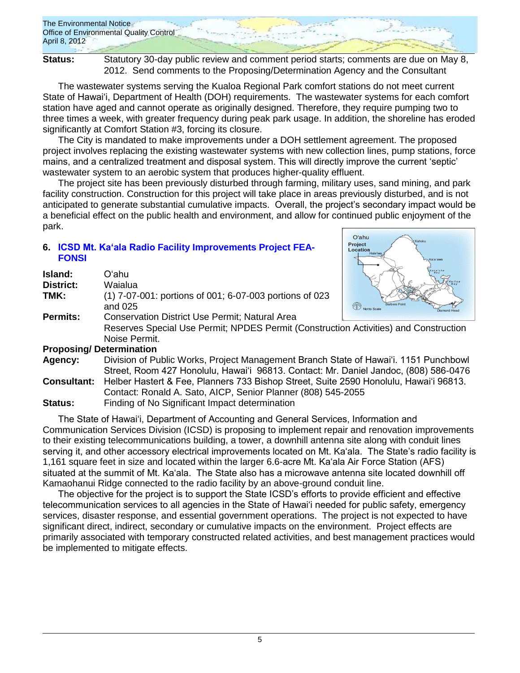The Environmental Notice Office of Environmental Quality Control April 8, 2012

**Status:** Statutory 30-day public review and comment period starts; comments are due on May 8, 2012. Send comments to the Proposing/Determination Agency and the Consultant

The wastewater systems serving the Kualoa Regional Park comfort stations do not meet current State of Hawaiʻi, Department of Health (DOH) requirements. The wastewater systems for each comfort station have aged and cannot operate as originally designed. Therefore, they require pumping two to three times a week, with greater frequency during peak park usage. In addition, the shoreline has eroded significantly at Comfort Station #3, forcing its closure.

The City is mandated to make improvements under a DOH settlement agreement. The proposed project involves replacing the existing wastewater systems with new collection lines, pump stations, force mains, and a centralized treatment and disposal system. This will directly improve the current 'septic' wastewater system to an aerobic system that produces higher-quality effluent.

The project site has been previously disturbed through farming, military uses, sand mining, and park facility construction. Construction for this project will take place in areas previously disturbed, and is not anticipated to generate substantial cumulative impacts. Overall, the project's secondary impact would be a beneficial effect on the public health and environment, and allow for continued public enjoyment of the park.

## **6. ICSD Mt. Ka'ala Radio [Facility Improvements Project FEA-](http://oeqc.doh.hawaii.gov/Shared%20Documents/EA_and_EIS_Online_Library/Oahu/2010s/2012-04-08-FEA-Mt-Kaala-Radio-Facility-Improvements-Project.pdf)[FONSI](http://oeqc.doh.hawaii.gov/Shared%20Documents/EA_and_EIS_Online_Library/Oahu/2010s/2012-04-08-FEA-Mt-Kaala-Radio-Facility-Improvements-Project.pdf)**

| Island:          | Oʻahu                                                              |  |
|------------------|--------------------------------------------------------------------|--|
| <b>District:</b> | Waialua                                                            |  |
| TMK:             | (1) 7-07-001: portions of 001; 6-07-003 portions of 023<br>and 025 |  |
| <b>Permits:</b>  | <b>Conservation District Use Permit; Natural Area</b>              |  |
|                  | <b>Reserves Special Use Permit: NPDES Permit (Construction</b>     |  |
|                  | Noise Permit.                                                      |  |
|                  | <b>Proposing/Determination</b>                                     |  |
| Agancy.          | Division of Public Works, Project Management Branch State          |  |



Activities) and Construction

**Agency:** Division of Public Works, Project Management Branch State of Hawai'i. 1151 Punchbowl Street, Room 427 Honolulu, Hawai'i 96813. Contact: Mr. Daniel Jandoc, (808) 586-0476 **Consultant:** Helber Hastert & Fee, Planners 733 Bishop Street, Suite 2590 Honolulu, Hawai'i 96813.

- Contact: Ronald A. Sato, AICP, Senior Planner (808) 545-2055
- **Status:** Finding of No Significant Impact determination

The State of Hawai'i, Department of Accounting and General Services, Information and Communication Services Division (ICSD) is proposing to implement repair and renovation improvements to their existing telecommunications building, a tower, a downhill antenna site along with conduit lines serving it, and other accessory electrical improvements located on Mt. Ka'ala. The State's radio facility is 1,161 square feet in size and located within the larger 6.6-acre Mt. Ka'ala Air Force Station (AFS) situated at the summit of Mt. Ka'ala. The State also has a microwave antenna site located downhill off Kamaohanui Ridge connected to the radio facility by an above-ground conduit line.

The objective for the project is to support the State ICSD's efforts to provide efficient and effective telecommunication services to all agencies in the State of Hawai'i needed for public safety, emergency services, disaster response, and essential government operations. The project is not expected to have significant direct, indirect, secondary or cumulative impacts on the environment. Project effects are primarily associated with temporary constructed related activities, and best management practices would be implemented to mitigate effects.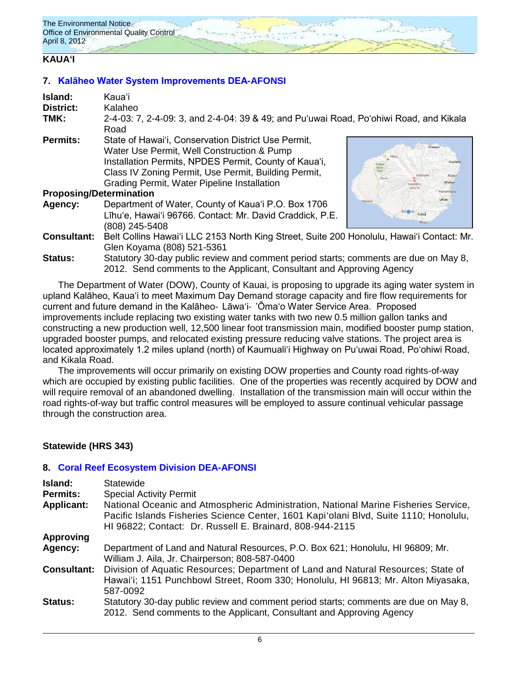## **KAUAʻI**

## **7. [Kalāheo Water System Improvements DEA-AFONSI](http://oeqc.doh.hawaii.gov/Shared%20Documents/EA_and_EIS_Online_Library/Kauai/2010s/2012-04-08-DEA-Kalaheo-Water-System-Improvements.pdf)**

| Island:            | Kaua'i                                                                                                                                                        |                                            |
|--------------------|---------------------------------------------------------------------------------------------------------------------------------------------------------------|--------------------------------------------|
| <b>District:</b>   | Kalaheo                                                                                                                                                       |                                            |
| TMK:               | 2-4-03: 7, 2-4-09: 3, and 2-4-04: 39 & 49; and Pu'uwai Road, Po'ohiwi Road, and Kikala<br>Road                                                                |                                            |
| <b>Permits:</b>    | State of Hawai'i, Conservation District Use Permit,<br>Water Use Permit, Well Construction & Pump                                                             | Kilauea                                    |
|                    | Installation Permits, NPDES Permit, County of Kaua'i,<br>Class IV Zoning Permit, Use Permit, Building Permit,<br>Grading Permit, Water Pipeline Installation  | Anahola<br>Kapaa<br>Wailua<br>Kawaikin     |
|                    | <b>Proposing/Determination</b>                                                                                                                                | 5243 ft<br>Hanamaulu                       |
| Agency:            | Department of Water, County of Kaua'i P.O. Box 1706<br>Līhu'e, Hawai'i 96766. Contact: Mr. David Craddick, P.E.<br>(808) 245-5408                             | ihue<br>Kekaha<br>Kal no<br>Koloa<br>Poipu |
| <b>Consultant:</b> | Belt Collins Hawai'i LLC 2153 North King Street, Suite 200 Honolulu, Hawai'i Contact: Mr.<br>Glen Koyama (808) 521-5361                                       |                                            |
| <b>Status:</b>     | Statutory 30-day public review and comment period starts; comments are due on May 8,<br>2012. Send comments to the Applicant, Consultant and Approving Agency |                                            |

The Department of Water (DOW), County of Kauai, is proposing to upgrade its aging water system in upland Kalāheo, Kaua'i to meet Maximum Day Demand storage capacity and fire flow requirements for current and future demand in the Kalāheo‐ Lāwa'i‐ 'Ōma'o Water Service Area. Proposed improvements include replacing two existing water tanks with two new 0.5 million gallon tanks and constructing a new production well, 12,500 linear foot transmission main, modified booster pump station, upgraded booster pumps, and relocated existing pressure reducing valve stations. The project area is located approximately 1.2 miles upland (north) of Kaumuali'i Highway on Pu'uwai Road, Po'ohiwi Road, and Kikala Road.

The improvements will occur primarily on existing DOW properties and County road rights-of-way which are occupied by existing public facilities. One of the properties was recently acquired by DOW and will require removal of an abandoned dwelling. Installation of the transmission main will occur within the road rights-of-way but traffic control measures will be employed to assure continual vehicular passage through the construction area.

## **Statewide (HRS 343)**

## **8. [Coral Reef Ecosystem Division](http://oeqc.doh.hawaii.gov/Shared%20Documents/EA_and_EIS_Online_Library/Statewide/2010s/2012-04-08-DEA-Coral-Reef-Emergency-Division.pdf) DEA-AFONSI**

| Island:<br><b>Permits:</b><br><b>Applicant:</b> | <b>Statewide</b><br><b>Special Activity Permit</b><br>National Oceanic and Atmospheric Administration, National Marine Fisheries Service,<br>Pacific Islands Fisheries Science Center, 1601 Kapi'olani Blvd, Suite 1110; Honolulu,<br>HI 96822; Contact: Dr. Russell E. Brainard, 808-944-2115 |
|-------------------------------------------------|------------------------------------------------------------------------------------------------------------------------------------------------------------------------------------------------------------------------------------------------------------------------------------------------|
| <b>Approving</b>                                |                                                                                                                                                                                                                                                                                                |
| Agency:                                         | Department of Land and Natural Resources, P.O. Box 621; Honolulu, HI 96809; Mr.<br>William J. Aila, Jr. Chairperson; 808-587-0400                                                                                                                                                              |
| <b>Consultant:</b>                              | Division of Aquatic Resources; Department of Land and Natural Resources; State of<br>Hawai'i; 1151 Punchbowl Street, Room 330; Honolulu, HI 96813; Mr. Alton Miyasaka,<br>587-0092                                                                                                             |
| <b>Status:</b>                                  | Statutory 30-day public review and comment period starts; comments are due on May 8,<br>2012. Send comments to the Applicant, Consultant and Approving Agency                                                                                                                                  |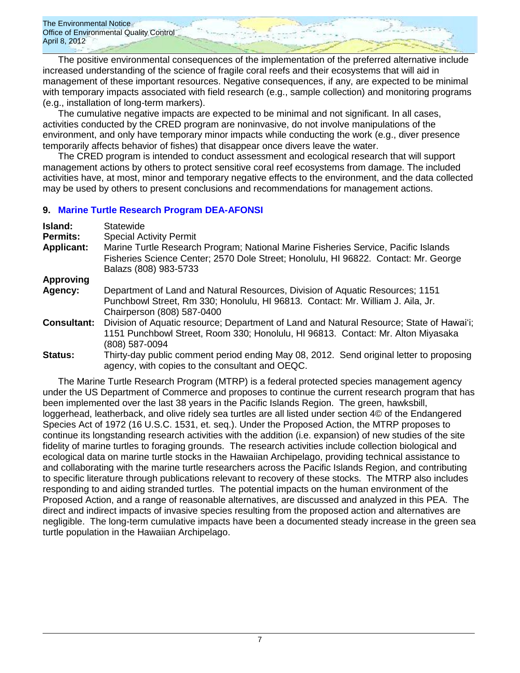The Environmental Notice Office of Environmental Quality Control April 8, 2012

The positive environmental consequences of the implementation of the preferred alternative include increased understanding of the science of fragile coral reefs and their ecosystems that will aid in management of these important resources. Negative consequences, if any, are expected to be minimal with temporary impacts associated with field research (e.g., sample collection) and monitoring programs (e.g., installation of long-term markers).

The cumulative negative impacts are expected to be minimal and not significant. In all cases, activities conducted by the CRED program are noninvasive, do not involve manipulations of the environment, and only have temporary minor impacts while conducting the work (e.g., diver presence temporarily affects behavior of fishes) that disappear once divers leave the water.

The CRED program is intended to conduct assessment and ecological research that will support management actions by others to protect sensitive coral reef ecosystems from damage. The included activities have, at most, minor and temporary negative effects to the environment, and the data collected may be used by others to present conclusions and recommendations for management actions.

## **9. [Marine Turtle Research Program DEA-AFONSI](http://oeqc.doh.hawaii.gov/Shared%20Documents/EA_and_EIS_Online_Library/Statewide/2010s/2012-04-08-DEA-Marine-Turtle-Research-Program.pdf)**

| Island:<br><b>Permits:</b> | Statewide<br><b>Special Activity Permit</b>                                                                                                                                                        |
|----------------------------|----------------------------------------------------------------------------------------------------------------------------------------------------------------------------------------------------|
| <b>Applicant:</b>          | Marine Turtle Research Program; National Marine Fisheries Service, Pacific Islands<br>Fisheries Science Center; 2570 Dole Street; Honolulu, HI 96822. Contact: Mr. George<br>Balazs (808) 983-5733 |
| <b>Approving</b>           |                                                                                                                                                                                                    |
| Agency:                    | Department of Land and Natural Resources, Division of Aquatic Resources; 1151                                                                                                                      |
|                            | Punchbowl Street, Rm 330; Honolulu, HI 96813. Contact: Mr. William J. Aila, Jr.                                                                                                                    |
|                            | Chairperson (808) 587-0400                                                                                                                                                                         |
| <b>Consultant:</b>         | Division of Aquatic resource; Department of Land and Natural Resource; State of Hawai'i;                                                                                                           |
|                            | 1151 Punchbowl Street, Room 330; Honolulu, HI 96813. Contact: Mr. Alton Miyasaka                                                                                                                   |
|                            | (808) 587-0094                                                                                                                                                                                     |
| <b>Status:</b>             | Thirty-day public comment period ending May 08, 2012. Send original letter to proposing                                                                                                            |
|                            | agency, with copies to the consultant and OEQC.                                                                                                                                                    |

The Marine Turtle Research Program (MTRP) is a federal protected species management agency under the US Department of Commerce and proposes to continue the current research program that has been implemented over the last 38 years in the Pacific Islands Region. The green, hawksbill, loggerhead, leatherback, and olive ridely sea turtles are all listed under section 4© of the Endangered Species Act of 1972 (16 U.S.C. 1531, et. seq.). Under the Proposed Action, the MTRP proposes to continue its longstanding research activities with the addition (i.e. expansion) of new studies of the site fidelity of marine turtles to foraging grounds. The research activities include collection biological and ecological data on marine turtle stocks in the Hawaiian Archipelago, providing technical assistance to and collaborating with the marine turtle researchers across the Pacific Islands Region, and contributing to specific literature through publications relevant to recovery of these stocks. The MTRP also includes responding to and aiding stranded turtles. The potential impacts on the human environment of the Proposed Action, and a range of reasonable alternatives, are discussed and analyzed in this PEA. The direct and indirect impacts of invasive species resulting from the proposed action and alternatives are negligible. The long-term cumulative impacts have been a documented steady increase in the green sea turtle population in the Hawaiian Archipelago.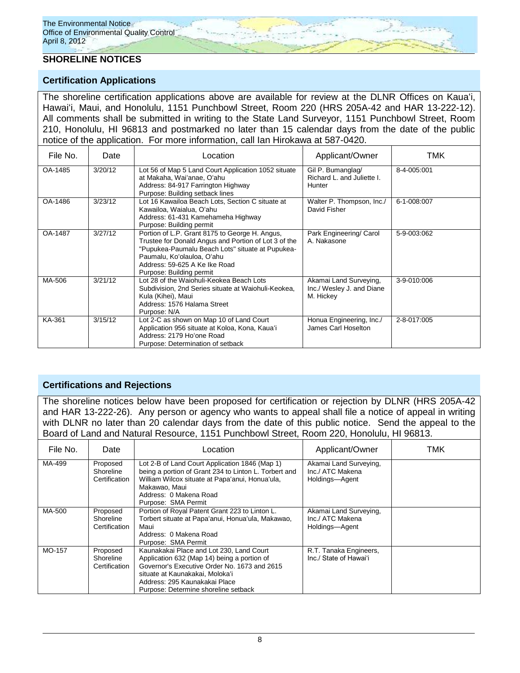## **SHORELINE NOTICES**

### **Certification Applications**

The shoreline certification applications above are available for review at the DLNR Offices on Kauaʻi, Hawaiʻi, Maui, and Honolulu, 1151 Punchbowl Street, Room 220 (HRS 205A-42 and HAR 13-222-12). All comments shall be submitted in writing to the State Land Surveyor, 1151 Punchbowl Street, Room 210, Honolulu, HI 96813 and postmarked no later than 15 calendar days from the date of the public notice of the application. For more information, call Ian Hirokawa at 587-0420.

| File No. | Date    | Location                                                                                                                                                                                                                                              | Applicant/Owner                                                  | TMK         |
|----------|---------|-------------------------------------------------------------------------------------------------------------------------------------------------------------------------------------------------------------------------------------------------------|------------------------------------------------------------------|-------------|
| OA-1485  | 3/20/12 | Lot 56 of Map 5 Land Court Application 1052 situate<br>at Makaha, Wai'anae, O'ahu<br>Address: 84-917 Farrington Highway<br>Purpose: Building setback lines                                                                                            | Gil P. Bumanglag/<br>Richard L. and Juliette I.<br>Hunter        | 8-4-005:001 |
| OA-1486  | 3/23/12 | Lot 16 Kawailoa Beach Lots, Section C situate at<br>Kawailoa, Waialua, O'ahu<br>Address: 61-431 Kamehameha Highway<br>Purpose: Building permit                                                                                                        | Walter P. Thompson, Inc./<br>David Fisher                        | 6-1-008:007 |
| OA-1487  | 3/27/12 | Portion of L.P. Grant 8175 to George H. Angus,<br>Trustee for Donald Angus and Portion of Lot 3 of the<br>"Pupukea-Paumalu Beach Lots" situate at Pupukea-<br>Paumalu, Ko'olauloa, O'ahu<br>Address: 59-625 A Ke Ike Road<br>Purpose: Building permit | Park Engineering/ Carol<br>A. Nakasone                           | 5-9-003:062 |
| MA-506   | 3/21/12 | Lot 28 of the Waiohuli-Keokea Beach Lots<br>Subdivision, 2nd Series situate at Waiohuli-Keokea,<br>Kula (Kihei), Maui<br>Address: 1576 Halama Street<br>Purpose: N/A                                                                                  | Akamai Land Surveying,<br>Inc./ Wesley J. and Diane<br>M. Hickey | 3-9-010:006 |
| KA-361   | 3/15/12 | Lot 2-C as shown on Map 10 of Land Court<br>Application 956 situate at Koloa, Kona, Kaua'i<br>Address: 2179 Ho'one Road<br>Purpose: Determination of setback                                                                                          | Honua Engineering, Inc./<br>James Carl Hoselton                  | 2-8-017:005 |

## **Certifications and Rejections**

The shoreline notices below have been proposed for certification or rejection by DLNR (HRS 205A-42 and HAR 13-222-26). Any person or agency who wants to appeal shall file a notice of appeal in writing with DLNR no later than 20 calendar days from the date of this public notice. Send the appeal to the Board of Land and Natural Resource, 1151 Punchbowl Street, Room 220, Honolulu, HI 96813.

| File No. | Date                                   | Location                                                                                                                                                                                                                                            | Applicant/Owner                                              | TMK |
|----------|----------------------------------------|-----------------------------------------------------------------------------------------------------------------------------------------------------------------------------------------------------------------------------------------------------|--------------------------------------------------------------|-----|
| MA-499   | Proposed<br>Shoreline<br>Certification | Lot 2-B of Land Court Application 1846 (Map 1)<br>being a portion of Grant 234 to Linton L. Torbert and<br>William Wilcox situate at Papa'anui, Honua'ula,<br>Makawao, Maui<br>Address: 0 Makena Road<br>Purpose: SMA Permit                        | Akamai Land Surveying,<br>Inc./ ATC Makena<br>Holdings-Agent |     |
| MA-500   | Proposed<br>Shoreline<br>Certification | Portion of Royal Patent Grant 223 to Linton L.<br>Torbert situate at Papa'anui, Honua'ula, Makawao,<br>Maui<br>Address: 0 Makena Road<br>Purpose: SMA Permit                                                                                        | Akamai Land Surveying,<br>Inc./ ATC Makena<br>Holdings-Agent |     |
| MO-157   | Proposed<br>Shoreline<br>Certification | Kaunakakai Place and Lot 230, Land Court<br>Application 632 (Map 14) being a portion of<br>Governor's Executive Order No. 1673 and 2615<br>situate at Kaunakakai, Moloka'i<br>Address: 295 Kaunakakai Place<br>Purpose: Determine shoreline setback | R.T. Tanaka Engineers,<br>Inc./ State of Hawai'i             |     |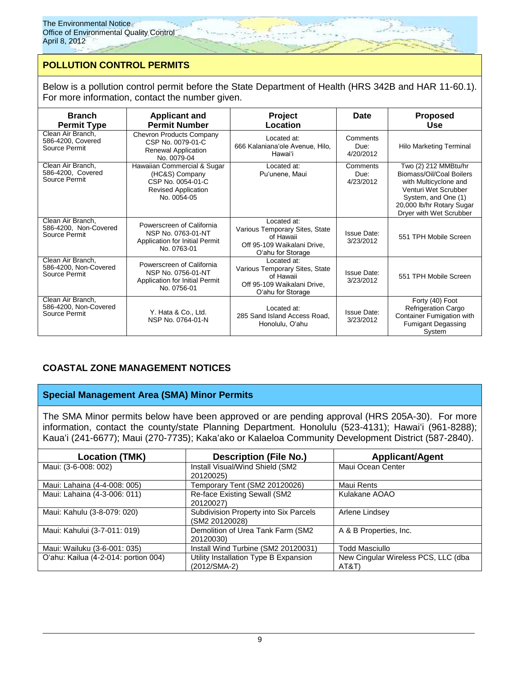# **POLLUTION CONTROL PERMITS**

Below is a pollution control permit before the State Department of Health (HRS 342B and HAR 11-60.1). For more information, contact the number given.

| <b>Branch</b><br><b>Permit Type</b>                         | <b>Applicant and</b><br><b>Permit Number</b>                                                                    | Project<br>Location                                                                                            | <b>Date</b>                     | <b>Proposed</b><br>Use                                                                                                                                                           |
|-------------------------------------------------------------|-----------------------------------------------------------------------------------------------------------------|----------------------------------------------------------------------------------------------------------------|---------------------------------|----------------------------------------------------------------------------------------------------------------------------------------------------------------------------------|
| Clean Air Branch,<br>586-4200, Covered<br>Source Permit     | <b>Chevron Products Company</b><br>CSP No. 0079-01-C<br>Renewal Application<br>No. 0079-04                      | Located at:<br>666 Kalaniana'ole Avenue, Hilo,<br>Hawai'i                                                      | Comments<br>Due:<br>4/20/2012   | <b>Hilo Marketing Terminal</b>                                                                                                                                                   |
| Clean Air Branch,<br>586-4200, Covered<br>Source Permit     | Hawaiian Commercial & Sugar<br>(HC&S) Company<br>CSP No. 0054-01-C<br><b>Revised Application</b><br>No. 0054-05 | Located at:<br>Pu'unene, Maui                                                                                  | Comments<br>Due:<br>4/23/2012   | Two (2) 212 MMBtu/hr<br>Biomass/Oil/Coal Boilers<br>with Multicyclone and<br>Venturi Wet Scrubber<br>System, and One (1)<br>20,000 lb/hr Rotary Sugar<br>Dryer with Wet Scrubber |
| Clean Air Branch,<br>586-4200, Non-Covered<br>Source Permit | Powerscreen of California<br>NSP No. 0763-01-NT<br>Application for Initial Permit<br>No. 0763-01                | Located at:<br>Various Temporary Sites, State<br>of Hawaii<br>Off 95-109 Waikalani Drive,<br>O'ahu for Storage | <b>Issue Date:</b><br>3/23/2012 | 551 TPH Mobile Screen                                                                                                                                                            |
| Clean Air Branch.<br>586-4200, Non-Covered<br>Source Permit | Powerscreen of California<br>NSP No. 0756-01-NT<br>Application for Initial Permit<br>No. 0756-01                | Located at:<br>Various Temporary Sites, State<br>of Hawaii<br>Off 95-109 Waikalani Drive.<br>O'ahu for Storage | <b>Issue Date:</b><br>3/23/2012 | 551 TPH Mobile Screen                                                                                                                                                            |
| Clean Air Branch,<br>586-4200, Non-Covered<br>Source Permit | Y. Hata & Co., Ltd.<br>NSP No. 0764-01-N                                                                        | Located at:<br>285 Sand Island Access Road,<br>Honolulu, O'ahu                                                 | Issue Date:<br>3/23/2012        | Forty (40) Foot<br><b>Refrigeration Cargo</b><br>Container Fumigation with<br><b>Fumigant Degassing</b><br>System                                                                |

# **COASTAL ZONE MANAGEMENT NOTICES**

## **Special Management Area (SMA) Minor Permits**

The SMA Minor permits below have been approved or are pending approval (HRS 205A-30). For more information, contact the county/state Planning Department. Honolulu (523-4131); Hawaiʻi (961-8288); Kauaʻi (241-6677); Maui (270-7735); Kakaʻako or Kalaeloa Community Development District (587-2840).

| <b>Location (TMK)</b>                | <b>Description (File No.)</b>                           | <b>Applicant/Agent</b>                       |
|--------------------------------------|---------------------------------------------------------|----------------------------------------------|
| Maui: (3-6-008: 002)                 | Install Visual/Wind Shield (SM2<br>20120025)            | Maui Ocean Center                            |
| Maui: Lahaina (4-4-008: 005)         | Temporary Tent (SM2 20120026)                           | Maui Rents                                   |
| Maui: Lahaina (4-3-006: 011)         | Re-face Existing Sewall (SM2<br>20120027)               | Kulakane AOAO                                |
| Maui: Kahulu (3-8-079: 020)          | Subdivision Property into Six Parcels<br>(SM2 20120028) | Arlene Lindsey                               |
| Maui: Kahului (3-7-011: 019)         | Demolition of Urea Tank Farm (SM2<br>20120030)          | A & B Properties, Inc.                       |
| Maui: Wailuku (3-6-001: 035)         | Install Wind Turbine (SM2 20120031)                     | <b>Todd Masciullo</b>                        |
| O'ahu: Kailua (4-2-014: portion 004) | Utility Installation Type B Expansion<br>(2012/SMA-2)   | New Cingular Wireless PCS, LLC (dba<br>AT&T` |